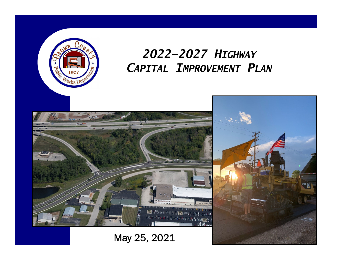

# *2022—2027 HIGHWAYCAPITAL IMPROVEMENT PLAN*

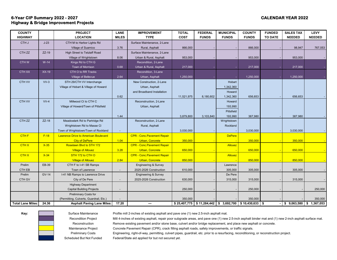# **6-Year CIP Summary 2022 - 2027 CALENDAR YEAR 2022 Highway & Bridge Improvement Projects**

| <b>COUNTY</b>            |              | <b>PROJECT</b>                              | <b>LANE</b>              | <b>IMPROVEMENT</b>                 | <b>TOTAL</b> | <b>FEDERAL</b> | <b>MUNICIPAL</b>                         | <b>COUNTY</b> | <b>FUNDED</b>  | <b>SALES TAX</b> | <b>LEVY</b>   |
|--------------------------|--------------|---------------------------------------------|--------------------------|------------------------------------|--------------|----------------|------------------------------------------|---------------|----------------|------------------|---------------|
| <b>HIGHWAY</b>           |              | <b>LOCATION</b>                             | <b>MILES</b>             | <b>TYPE</b>                        | <b>COST</b>  | <b>FUNDS</b>   | <b>FUNDS</b>                             | <b>FUNDS</b>  | <b>TO DATE</b> | <b>NEEDED</b>    | <b>NEEDED</b> |
| CTH J                    | $J-23$       | CTH M to Harbor Lights Rd                   |                          | Surface Maintenance, 2-Lane        |              |                |                                          |               |                |                  |               |
|                          |              | <b>Village of Suamico</b>                   | 3.76                     | Rural, Asphalt                     | 866,000      |                |                                          | 866,000       |                | 98,947           | 767,053       |
| CTH <sub>ZZ</sub>        | ZZ-19        | High Street to Tetzlaff Road                |                          | Surface Maintenance, 2-Lane        |              |                |                                          |               |                |                  |               |
|                          |              | Village of Wrightstown                      | 8.06                     | Urban & Rural, Asphalt             | 953,000      |                |                                          | 953,000       |                | 953,000          |               |
| <b>CTHW</b>              | $W-14$       | Kings Rd to CTH G                           |                          | Recondition, 2-Lane                |              |                |                                          |               |                |                  |               |
|                          |              | Town of Morrison                            | 0.68                     | Urban & Rural, Asphalt             | 217,000      |                |                                          | 217,000       |                | 217,000          |               |
| <b>CTH XX</b>            | $XX-19$      | CTH O to RR Tracks                          |                          | Recondition, 3-Lane                |              |                |                                          |               |                |                  |               |
|                          |              | Village of Bellevue                         | 2.64                     | Urban, Asphalt                     | 1,250,000    |                |                                          | 1,250,000     |                | 1,250,000        |               |
| CTH VV                   | $VV-3$       | STH 29/CTH VV Interchange                   |                          | New Construction, 2-Lane           |              |                | Hobart                                   |               |                |                  |               |
|                          |              | Village of Hobart & Village of Howard       |                          | Urban, Asphalt                     |              |                | 1,342,360                                |               |                |                  |               |
|                          |              |                                             |                          | and Broadband Installation         |              |                | Howard                                   |               |                |                  |               |
|                          |              |                                             | 0.62                     |                                    | 11,521,975   | 8,180,602      | 1,342,360                                | 656,653       |                | 656,653          |               |
| CTH VV                   | $VV-4$       | Millwood Ct to CTH C                        |                          | Reconstruction, 2-Lane             |              |                | Howard                                   |               |                |                  |               |
|                          |              | Village of Howard/Town of Pittsfield        |                          | Urban, Asphalt                     |              |                | 193,990                                  |               |                |                  |               |
|                          |              |                                             |                          |                                    |              |                | Pittsfield                               |               |                |                  |               |
|                          |              |                                             | 1.44                     |                                    | 3,879,800    | 3,103,840      | 193,990                                  | 387,980       |                | 387,980          |               |
| CTH <sub>ZZ</sub>        | $ZZ-18$      | Meadowlark Rd to Partridge Rd               |                          | Reconstruction, 2-Lane             |              |                | Wrightstown                              |               |                |                  |               |
|                          |              | Wrightstown Rd to Masse Cl                  |                          | Rural, Asphalt                     |              |                | Rockland                                 |               |                |                  |               |
|                          |              | Town of Wrightstown/Town of Rockland        | $\overline{\phantom{a}}$ |                                    | 3,030,000    |                |                                          | 3,030,000     |                | 3,030,000        |               |
| CTH <sub>F</sub>         | $F-18$       | <b>Lawrence Drive to American Boulevard</b> |                          | <b>CPR - Conc. Pavement Repair</b> |              |                | <b>DePere</b>                            |               |                |                  |               |
|                          |              | <b>City of DePere</b>                       | 1.04                     | <b>Urban, Concrete</b>             | 350,000      |                |                                          | 350,000       |                | 350,000          |               |
| <b>CTHX</b>              | $X-35$       | Roselawn Blvd to STH 172                    |                          | <b>CPR - Conc. Pavement Repair</b> |              |                | <b>Allouez</b>                           |               |                |                  |               |
|                          |              | <b>Village of Allouez</b>                   | 3.28                     | <b>Urban, Concrete</b>             | 650,000      |                |                                          | 650,000       |                | 650,000          |               |
| <b>CTHX</b>              | $X-34$       | STH 172 to CTH O                            |                          | <b>CPR - Conc. Pavement Repair</b> |              |                | Allouez                                  |               |                |                  |               |
|                          |              | <b>Village of Allouez</b>                   | 2.84                     | <b>Urban, Concrete</b>             | 850,000      |                |                                          | 850,000       |                | 850,000          |               |
| Prelim                   | EB-39        | CTH F to I-41 SB Ramps                      |                          | <b>Engineering &amp; Survey</b>    |              |                | Lawrence                                 |               |                |                  |               |
| CTH EB                   |              | Town of Lawrence                            |                          | 2025-2026 Construction             | 610,000      |                | 305,000                                  | 305,000       |                | 305,000          |               |
| Prelim                   | <b>GV-14</b> | I-41 NB Ramps to Lawrence Drive             |                          | <b>Engineering &amp; Survey</b>    |              |                | De Pere                                  |               |                |                  |               |
| CTH GV                   |              | City of De Pere                             |                          | 2025-2026 Construction             | 630,000      |                | 315,000                                  | 315,000       |                | 315,000          |               |
|                          |              | <b>Highway Department</b>                   |                          |                                    |              |                |                                          |               |                |                  |               |
|                          |              | <b>Capital Building Projects</b>            |                          |                                    | 250,000      |                |                                          | 250,000       |                |                  | 250,000       |
|                          |              | <b>Preliminary Costs for</b>                |                          |                                    |              |                |                                          |               |                |                  |               |
|                          |              | (Permitting, Culverts, Guardrail, Etc.)     |                          |                                    | 350,000      |                |                                          | 350,000       |                |                  | 350,000       |
| <b>Total Lane Miles:</b> | 24.36        | <b>Asphalt Paving Lane Miles:</b>           | 17.20                    | $\qquad \qquad \cdots$             |              |                | $$25,407,775$ $$11,284,442$ $$3,692,700$ | \$10,430,633  | -\$            | \$9,063,580      | \$1,367,053   |

**Key:** Surface Maintenance Profile mill 2-inches of existing asphalt and pave one (1) new 2.5-inch asphalt mat.

Recondition Project Mill 4-inches of existing asphalt, repair poor subgrade areas, and pave one (1) new 2.5-inch asphalt binder mat and (1) new 2-inch asphalt surface mat. Reconstruction Remove existing pavement and/or stone base, culvert and/or bridge replacement, and place new asphalt or concrete.

Maintenance Project Concrete Pavement Repair (CPR), crack filling asphalt roads, safety improvements, or traffic signals.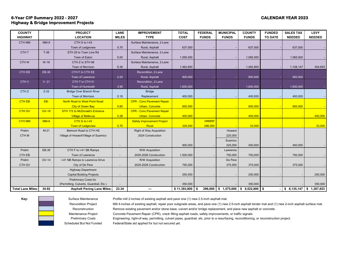# **6-Year CIP Summary 2022 - 2027 CALENDAR YEAR 2023 Highway & Bridge Improvement Projects**

| <b>COUNTY</b>            |              | <b>PROJECT</b>                          | <b>LANE</b>              | <b>IMPROVEMENT</b>                 | <b>TOTAL</b> | <b>FEDERAL</b> | <b>MUNICIPAL</b>     | <b>COUNTY</b>     | <b>FUNDED</b>  | <b>SALES TAX</b> | <b>LEVY</b>   |
|--------------------------|--------------|-----------------------------------------|--------------------------|------------------------------------|--------------|----------------|----------------------|-------------------|----------------|------------------|---------------|
| <b>HIGHWAY</b>           |              | <b>LOCATION</b>                         | <b>MILES</b>             | <b>TYPE</b>                        | <b>COST</b>  | <b>FUNDS</b>   | <b>FUNDS</b>         | <b>FUNDS</b>      | <b>TO DATE</b> | <b>NEEDED</b>    | <b>NEEDED</b> |
| <b>CTH MM</b>            | $MM-9$       | CTH G to I-43                           |                          | Surface Maintenance, 2-Lane        |              |                |                      |                   |                |                  |               |
|                          |              | Town of Ledgeview                       | 5.70                     | Rural, Asphalt                     | 637,000      |                |                      | 637,000           |                | 637,000          |               |
| CTH <sub>T</sub>         | $T-36$       | STH 29 to Town Line Rd                  |                          | Surface Maintenance, 2-Lane        |              |                |                      |                   |                |                  |               |
|                          |              | Town of Eaton                           | 5.00                     | Rural, Asphalt                     | 1,065,000    |                |                      | 1,065,000         |                | 1,065,000        |               |
| CTH <sub>W</sub>         | $W-16$       | CTH Z to STH 96                         |                          | Surface Maintenance, 2-Lane        |              |                |                      |                   |                |                  |               |
|                          |              | Town of Morrison                        | 6.36                     | Rural, Asphalt                     | 1,462,800    |                |                      | 1,462,800         |                | 1,108,147        | 354,653       |
| CTH EB                   | EB-36        | CTH F to CTH EE                         |                          | Recondition, 2-Lane                |              |                |                      |                   |                |                  |               |
|                          |              | Town of Lawrence                        | 2.20                     | Rural, Asphalt                     | 900,000      |                |                      | 900,000           |                | 900,000          |               |
| <b>CTHV</b>              | $V - 21$     | CTH T to CTH IV                         |                          | Recondition, 2-Lane                |              |                |                      |                   |                |                  |               |
|                          |              | Town of Humboldt                        | 3.90                     | Rural, Asphalt                     | 1,600,000    |                |                      | 1,600,000         |                | 1,600,000        |               |
| CTH <sub>Z</sub>         | $Z-32$       | <b>Bridge Over Branch River</b>         |                          | <b>Bridge</b>                      |              |                |                      |                   |                |                  |               |
|                          |              | Town of Morrison                        | 0.18                     | Replacement                        | 400,000      |                |                      | 400,000           |                | 400,000          |               |
| <b>CTH EB</b>            | EB-          | North Road to West Point Road           |                          | <b>CPR - Conc. Pavement Repair</b> |              |                |                      |                   |                |                  |               |
|                          |              | <b>City of Green Bay</b>                | 5.60                     | <b>Urban, Concrete</b>             | 850,000      |                |                      | 850,000           |                | 850,000          |               |
| <b>CTH GV</b>            | <b>GV-19</b> | STH 172 to McDonald's Entrance          |                          | <b>CPR - Conc. Pavement Repair</b> |              |                |                      |                   |                |                  |               |
|                          |              | <b>Village of Bellevue</b>              | 0.28                     | <b>Urban, Concrete</b>             | 400,000      |                |                      | 400,000           |                |                  | 400,000       |
| <b>CTH MM</b>            | $MM-8$       | CTH G to I-43                           |                          | <b>Safety Improvement Project</b>  |              | <b>HRRRP</b>   |                      |                   |                |                  |               |
|                          |              | <b>Town of Ledgeview</b>                | 5.70                     | Rural                              | 329,000      | 296,000        |                      | 33,000            |                |                  | 33,000        |
| Prelim                   | $M-21$       | Belmont Road to CTH HS                  |                          | <b>Right of Way Acquisition</b>    |              |                | Howard               |                   |                |                  |               |
| CTH <sub>M</sub>         |              | Village of Howard/Village of Suamico    |                          | 2024 Construction                  |              |                | 225,000              |                   |                |                  |               |
|                          |              |                                         |                          |                                    |              |                | Suamico              |                   |                |                  |               |
|                          |              |                                         |                          |                                    | 900,000      |                | 225,000              | 450,000           |                | 450,000          |               |
| Prelim                   | EB-39        | CTH F to I-41 SB Ramps                  |                          | R/W Acquisition                    |              |                | Lawrence             |                   |                |                  |               |
| CTH EB                   |              | Town of Lawrence                        | $\overline{\phantom{a}}$ | 2025-2026 Construction             | 1,500,000    |                | 750,000              | 750,000           |                | 750,000          |               |
| Prelim                   | <b>GV-14</b> | I-41 NB Ramps to Lawrence Drive         |                          | R/W Acquisition                    |              |                | De Pere              |                   |                |                  |               |
| CTH GV                   |              | City of De Pere                         |                          | 2025-2026 Construction             | 750,000      |                | 375,000              | 375,000           |                | 375,000          |               |
|                          |              | <b>Highway Department</b>               |                          |                                    |              |                |                      |                   |                |                  |               |
|                          |              | <b>Capital Building Projects</b>        | $\overline{\phantom{a}}$ |                                    | 250,000      |                |                      | 250,000           |                |                  | 250,000       |
|                          |              | <b>Preliminary Costs for</b>            |                          |                                    |              |                |                      |                   |                |                  |               |
|                          |              | (Permitting, Culverts, Guardrail, Etc.) |                          |                                    | 350,000      |                |                      | 350,000           |                |                  | 350,000       |
| <b>Total Lane Miles:</b> | 34.92        | <b>Asphalt Paving Lane Miles:</b>       | 23.34                    | ---                                | \$11,393,800 | - \$           | 296,000 \$ 1,575,000 | $$9,522,800$ \ \$ |                |                  | 1,387,653     |



**Key:** Surface Maintenance Profile mill 2-inches of existing asphalt and pave one (1) new 2.5-inch asphalt mat.

Recondition Project Mill 4-inches of existing asphalt, repair poor subgrade areas, and pave one (1) new 2.5-inch asphalt binder mat and (1) new 2-inch asphalt surface mat.

Reconstruction Remove existing pavement and/or stone base, culvert and/or bridge replacement, and place new asphalt or concrete.

Maintenance Project Concrete Pavement Repair (CPR), crack filling asphalt roads, safety improvements, or traffic signals.

Preliminary Costs Engineering, right-of-way, permitting, culvert pipes, guardrail, etc. prior to a resurfacing, reconditioning, or reconstruction project.

Scheduled But Not Funded Federal/State aid applied for but not secured yet.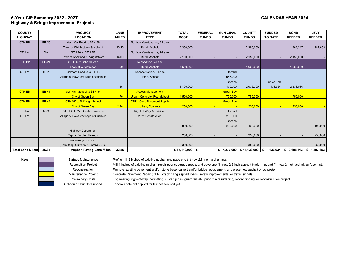# **6-Year CIP Summary 2022 - 2027 CALENDAR YEAR 2024 Highway & Bridge Improvement Projects**

| <b>COUNTY</b>            |              | <b>PROJECT</b>                          | <b>LANE</b>    | <b>IMPROVEMENT</b>                 | <b>TOTAL</b>     | <b>FEDERAL</b> | <b>MUNICIPAL</b> | <b>COUNTY</b>                              | <b>FUNDED</b>  | <b>BOND</b>            | <b>LEVY</b>   |
|--------------------------|--------------|-----------------------------------------|----------------|------------------------------------|------------------|----------------|------------------|--------------------------------------------|----------------|------------------------|---------------|
| <b>HIGHWAY</b>           |              | <b>LOCATION</b>                         | <b>MILES</b>   | <b>TYPE</b>                        | <b>COST</b>      | <b>FUNDS</b>   | <b>FUNDS</b>     | <b>FUNDS</b>                               | <b>TO DATE</b> | <b>NEEDED</b>          | <b>NEEDED</b> |
| CTH PP                   | <b>PP-20</b> | Man- Cal Road to STH 96                 |                | Surface Maintenance, 2-Lane        |                  |                |                  |                                            |                |                        |               |
|                          |              | Town of Wrightstown & Holland           | 10.20          | Rural, Asphalt                     | 2,350,000        |                |                  | 2,350,000                                  |                | 1,962,347              | 387,653       |
| CTH W                    | $W -$        | STH 96 to CTH PP                        |                | Surface Maintenance, 2-Lane        |                  |                |                  |                                            |                |                        |               |
|                          |              | Town of Rockland & Wrightstown          | 14.00          | Rural, Asphalt                     | 2,150,000        |                |                  | 2,150,000                                  |                | 2,150,000              |               |
| CTH PP                   | <b>PP-21</b> | STH 96 to School Road                   |                | Recondition, 2-Lane                |                  |                |                  |                                            |                |                        |               |
|                          |              | Town of Wrightstown                     | 4.00           | Rural, Asphalt                     | 1,660,000        |                |                  | 1,660,000                                  |                | 1,660,000              |               |
| <b>CTHM</b>              | $M-21$       | Belmont Road to CTH HS                  |                | Reconstruction, 5-Lane             |                  |                | Howard           |                                            |                |                        |               |
|                          |              | Village of Howard/Village of Suamico    |                | Urban, Asphalt                     |                  |                | 1,957,000        |                                            |                |                        |               |
|                          |              |                                         |                |                                    |                  |                | Suamico          |                                            | Sales Tax      |                        |               |
|                          |              |                                         | 4.65           |                                    | 6,100,000        |                | 1,170,000        | 2,973,000                                  | 136,934        | 2,836,066              |               |
| <b>CTH EB</b>            | <b>EB-41</b> | SW High School to STH 54                |                | <b>Access Management</b>           |                  |                | <b>Green Bay</b> |                                            |                |                        |               |
|                          |              | <b>City of Green Bay</b>                | 1.76           | Urban, Concrete, Roundabout        | 1,500,000        |                | 750,000          | 750,000                                    |                | 750,000                |               |
| <b>CTH EB</b>            | <b>EB-42</b> | <b>CTH VK to SW High School</b>         |                | <b>CPR - Conc. Pavement Repair</b> |                  |                | <b>Green Bay</b> |                                            |                |                        |               |
|                          |              | <b>City of Green Bay</b>                | 2.24           | <b>Urban, Concrete</b>             | 250,000          |                |                  | 250,000                                    |                | 250,000                |               |
| Prelim                   | $M-22$       | CTH HS to W. Deerfield Avenue           |                | <b>Right of Way Acquisition</b>    |                  |                | Howard           |                                            |                |                        |               |
| CTH M                    |              | Village of Howard/Village of Suamico    |                | 2025 Construction                  |                  |                | 200,000          |                                            |                |                        |               |
|                          |              |                                         |                |                                    |                  |                | Suamico          |                                            |                |                        |               |
|                          |              |                                         |                |                                    | 800,000          |                | 200,000          | 400,000                                    |                |                        | 400,000       |
|                          |              | <b>Highway Department</b>               |                |                                    |                  |                |                  |                                            |                |                        |               |
|                          |              | <b>Capital Building Projects</b>        | $\overline{a}$ |                                    | 250,000          |                |                  | 250,000                                    |                |                        | 250,000       |
|                          |              | <b>Preliminary Costs for</b>            |                |                                    |                  |                |                  |                                            |                |                        |               |
|                          |              | (Permitting, Culverts, Guardrail, Etc.) |                |                                    | 350,000          |                |                  | 350,000                                    |                |                        | 350,000       |
| <b>Total Lane Miles:</b> | 36.85        | <b>Asphalt Paving Lane Miles:</b>       | 32.85          | ---                                | $$15,410,000$ \$ |                |                  | $$4,277,000 \;   \; $11,133,000 \;   \; $$ |                | $136,934$ \$ 9,608,413 | 1,387,653     |

**Key:** Surface Maintenance Profile mill 2-inches of existing asphalt and pave one (1) new 2.5-inch asphalt mat.

Recondition Project Mill 4-inches of existing asphalt, repair poor subgrade areas, and pave one (1) new 2.5-inch asphalt binder mat and (1) new 2-inch asphalt surface mat.

Reconstruction Remove existing pavement and/or stone base, culvert and/or bridge replacement, and place new asphalt or concrete.

Maintenance Project Concrete Pavement Repair (CPR), crack filling asphalt roads, safety improvements, or traffic signals.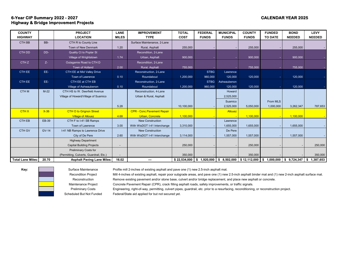# **6-Year CIP Summary 2022 - 2027 CALENDAR YEAR 2025 Highway & Bridge Improvement Projects**

| <b>COUNTY</b>            |              | <b>PROJECT</b>                          | <b>LANE</b>  | <b>IMPROVEMENT</b>                 | <b>TOTAL</b> | <b>FEDERAL</b> | <b>MUNICIPAL</b> | <b>COUNTY</b>                    | <b>FUNDED</b>  | <b>BOND</b>              | <b>LEVY</b>     |
|--------------------------|--------------|-----------------------------------------|--------------|------------------------------------|--------------|----------------|------------------|----------------------------------|----------------|--------------------------|-----------------|
| <b>HIGHWAY</b>           |              | <b>LOCATION</b>                         | <b>MILES</b> | <b>TYPE</b>                        | <b>COST</b>  | <b>FUNDS</b>   | <b>FUNDS</b>     | <b>FUNDS</b>                     | <b>TO DATE</b> | <b>NEEDED</b>            | <b>NEEDED</b>   |
| CTH BB                   | BB-          | CTH R to County Line                    |              | Surface Maintenance, 2-Lane        |              |                |                  |                                  |                |                          |                 |
|                          |              | Town of New Denmark                     | 1.20         | Rural, Asphalt                     | 255,000      |                |                  | 255,000                          |                | 255,000                  |                 |
| CTH DD                   | DD-          | <b>Quality Ct to Poplar St</b>          |              | Recondition, 2-Lane                |              |                |                  |                                  |                |                          |                 |
|                          |              | Village of Wrightstown                  | 1.74         | Urban, Asphalt                     | 900,000      |                |                  | 900,000                          |                | 900,000                  |                 |
| CTH <sub>Z</sub>         | $Z-$         | Outagamie Road to CTH D                 |              | Recondition, 2-Lane                |              |                |                  |                                  |                |                          |                 |
|                          |              | Town of Holland                         | 2.00         | Rural, Asphalt                     | 755,000      |                |                  | 755,000                          |                | 755,000                  |                 |
| CTH EE                   | EE-          | CTH EE at Mid Valley Drive              |              | Reconstruction, 2-Lane             |              | <b>STBG</b>    | Lawrence         |                                  |                |                          |                 |
|                          |              | Town of Lawrence                        | 0.10         | Roundabout                         | 1,200,000    | 960,000        | 120,000          | 120,000                          |                | 120,000                  |                 |
| CTH EE                   | EE-          | CTH EE at CTH EB                        |              | Reconstruction, 2-Lane             |              | <b>STBG</b>    | Ashwaubenon      |                                  |                |                          |                 |
|                          |              | Village of Ashwaubenon                  | 0.10         | Roundabout                         | 1,200,000    | 960,000        | 120,000          | 120,000                          |                | 120,000                  |                 |
| <b>CTHM</b>              | $M-22$       | CTH HS to W. Deerfield Avenue           |              | Reconstruction, 4-Lane             |              |                | Howard           |                                  |                |                          |                 |
|                          |              | Village of Howard/Village of Suamico    |              | Urban & Rural, Asphalt             |              |                | 2,525,000        |                                  |                |                          |                 |
|                          |              |                                         |              |                                    |              |                | Suamico          |                                  | From MLS       |                          |                 |
|                          |              |                                         | 5.28         |                                    | 10,100,000   |                | 2,525,000        | 5,050,000                        | 1,000,000      | 3.262.347                | 787,653         |
| <b>CTHX</b>              | $X-36$       | <b>CTH O to Grignon Street</b>          |              | <b>CPR - Conc. Pavement Repair</b> |              |                | <b>Allouez</b>   |                                  |                |                          |                 |
|                          |              | <b>Village of Allouez</b>               | 4.68         | Urban, Concrete                    | 1,100,000    |                |                  | 1,100,000                        |                | 1,100,000                |                 |
| <b>CTH EB</b>            | EB-39        | CTH F to I-41 SB Ramps                  |              | <b>New Construction</b>            |              |                | Lawrence         |                                  |                |                          |                 |
|                          |              | Town of Lawrence                        | 3.00         | With WisDOT I-41 Interchange       | 3,310,000    |                | 1.655.000        | 1,655,000                        |                | 1,655,000                |                 |
| <b>CTH GV</b>            | <b>GV-14</b> | I-41 NB Ramps to Lawrence Drive         |              | <b>New Construction</b>            |              |                | De Pere          |                                  |                |                          |                 |
|                          |              | City of De Pere                         | 2.60         | With WisDOT I-41 Interchange       | 3,114,000    |                | 1,557,000        | 1,557,000                        |                | 1,557,000                |                 |
|                          |              | <b>Highway Department</b>               |              |                                    |              |                |                  |                                  |                |                          |                 |
|                          |              | <b>Capital Building Projects</b>        |              |                                    | 250,000      |                |                  | 250,000                          |                |                          | 250,000         |
|                          |              | <b>Preliminary Costs for</b>            |              |                                    |              |                |                  |                                  |                |                          |                 |
|                          |              | (Permitting, Culverts, Guardrail, Etc.) |              |                                    | 350,000      |                |                  | 350,000                          |                |                          | 350,000         |
| <b>Total Lane Miles:</b> | 20.70        | <b>Asphalt Paving Lane Miles:</b>       | 16.02        | ---                                | \$22,534,000 | \$1,920,000    |                  | $$8,502,000 \;   \; $12,112,000$ | $\bullet$      | $1,000,000$ \$ 9.724,347 | 1,387,653<br>\$ |

**Key:** Surface Maintenance Profile mill 2-inches of existing asphalt and pave one (1) new 2.5-inch asphalt mat.

Recondition Project Mill 4-inches of existing asphalt, repair poor subgrade areas, and pave one (1) new 2.5-inch asphalt binder mat and (1) new 2-inch asphalt surface mat. Reconstruction Remove existing pavement and/or stone base, culvert and/or bridge replacement, and place new asphalt or concrete.

Maintenance Project Concrete Pavement Repair (CPR), crack filling asphalt roads, safety improvements, or traffic signals.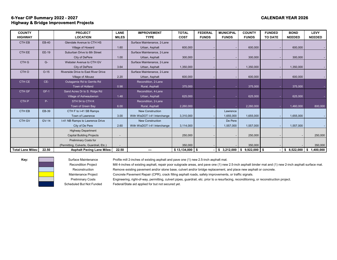# **6-Year CIP Summary 2022 - 2027 CALENDAR YEAR 2026 Highway & Bridge Improvement Projects**

| <b>COUNTY</b>            |              | <b>PROJECT</b>                          | <b>LANE</b>  | <b>IMPROVEMENT</b>           | <b>TOTAL</b>     | <b>FEDERAL</b> | <b>MUNICIPAL</b> | <b>COUNTY</b>  | <b>FUNDED</b>  | <b>BOND</b>   | <b>LEVY</b>   |
|--------------------------|--------------|-----------------------------------------|--------------|------------------------------|------------------|----------------|------------------|----------------|----------------|---------------|---------------|
| <b>HIGHWAY</b>           |              | <b>LOCATION</b>                         | <b>MILES</b> | <b>TYPE</b>                  | <b>COST</b>      | <b>FUNDS</b>   | <b>FUNDS</b>     | <b>FUNDS</b>   | <b>TO DATE</b> | <b>NEEDED</b> | <b>NEEDED</b> |
| <b>CTH EB</b>            | EB-40        | Glendale Avenue to CTH HS               |              | Surface Maintenance, 2-Lane  |                  |                |                  |                |                |               |               |
|                          |              | Village of Howard                       | 1.60         | Urban, Asphalt               | 600,000          |                |                  | 600,000        |                | 600,000       |               |
| <b>CTH EE</b>            | EE-19        | Suburban Drive to 6th Street            |              | Surface Maintenance, 2-Lane  |                  |                |                  |                |                |               |               |
|                          |              | City of DePere                          | 1.00         | Urban, Asphalt               | 300,000          |                |                  | 300,000        |                | 300,000       |               |
| CTH <sub>G</sub>         | $G-$         | Webster Avenue to CTH GV                |              | Surface Maintenance, 2-Lane  |                  |                |                  |                |                |               |               |
|                          |              | City of DePere                          | 3.64         | Urban, Asphalt               | 1,350,000        |                |                  | 1,350,000      |                | 1,350,000     |               |
| CTH O                    | $O-15$       | Riverside Drive to East River Drive     |              | Surface Maintenance, 2-Lane  |                  |                |                  |                |                |               |               |
|                          |              | Village of Allouez                      | 2.20         | Urban, Asphalt               | 600,000          |                |                  | 600,000        |                | 600,000       |               |
| CTH CE                   | CE-          | Outagamie Rd to Gerrits Rd              |              | Recondition, 2-Lane          |                  |                |                  |                |                |               |               |
|                          |              | Town of Holland                         | 0.98         | Rural, Asphalt               | 375,000          |                |                  | 375,000        |                | 375,000       |               |
| CTH GF                   | $GF-1$       | Sand Acres Dr to S. Ridge Rd            |              | Recondition, 4-Lane          |                  |                |                  |                |                |               |               |
|                          |              | Village of Ashwaubenon                  | 1.48         | Urban, Asphalt               | 625,000          |                |                  | 625,000        |                | 625,000       |               |
| CTH <sub>P</sub>         | P-           | STH 54 to CTH K                         |              | Recondition, 2-Lane          |                  |                |                  |                |                |               |               |
|                          |              | Town of Green Bay                       | 6.00         | Rural, Asphalt               | 2,260,000        |                |                  | 2,260,000      |                | 1,460,000     | 800,000       |
| <b>CTHEB</b>             | EB-39        | CTH F to I-41 SB Ramps                  |              | <b>New Construction</b>      |                  |                | Lawrence         |                |                |               |               |
|                          |              | Town of Lawrence                        | 3.00         | With WisDOT I-41 Interchange | 3,310,000        |                | 1,655,000        | 1,655,000      |                | 1,655,000     |               |
| CTH GV                   | <b>GV-14</b> | I-41 NB Ramps to Lawrence Drive         |              | <b>New Construction</b>      |                  |                | De Pere          |                |                |               |               |
|                          |              | City of De Pere                         | 2.60         | With WisDOT I-41 Interchange | 3,114,000        |                | 1,557,000        | 1,557,000      |                | 1,557,000     |               |
|                          |              | <b>Highway Department</b>               |              |                              |                  |                |                  |                |                |               |               |
|                          |              | <b>Capital Building Projects</b>        |              |                              | 250,000          |                |                  | 250,000        |                |               | 250,000       |
|                          |              | <b>Preliminary Costs for</b>            |              |                              |                  |                |                  |                |                |               |               |
|                          |              | (Permitting, Culverts, Guardrail, Etc.) |              |                              | 350,000          |                |                  | 350,000        |                |               | 350,000       |
| <b>Total Lane Miles:</b> | 22.50        | <b>Asphalt Paving Lane Miles:</b>       | 22.50        | ---                          | $$13,134,000$ \$ |                | $$3,212,000$ \$  | $9,922,000$ \$ |                | \$8,522,000   | \$1,400,000   |

**Key:** Surface Maintenance Profile mill 2-inches of existing asphalt and pave one (1) new 2.5-inch asphalt mat.

Recondition Project Mill 4-inches of existing asphalt, repair poor subgrade areas, and pave one (1) new 2.5-inch asphalt binder mat and (1) new 2-inch asphalt surface mat. Reconstruction Remove existing pavement and/or stone base, culvert and/or bridge replacement, and place new asphalt or concrete.

Maintenance Project Concrete Pavement Repair (CPR), crack filling asphalt roads, safety improvements, or traffic signals.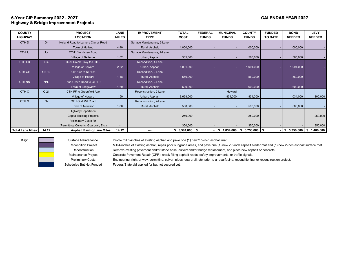# **6-Year CIP Summary 2022 - 2027 CALENDAR YEAR 2027 Highway & Bridge Improvement Projects**

| <b>COUNTY</b>            |        | <b>PROJECT</b>                          | <b>LANE</b>    | <b>IMPROVEMENT</b>          | <b>TOTAL</b>      | <b>FEDERAL</b> | <b>MUNICIPAL</b> | <b>COUNTY</b>                    | <b>FUNDED</b>  | <b>BOND</b>     | <b>LEVY</b>     |
|--------------------------|--------|-----------------------------------------|----------------|-----------------------------|-------------------|----------------|------------------|----------------------------------|----------------|-----------------|-----------------|
| <b>HIGHWAY</b>           |        | <b>LOCATION</b>                         | <b>MILES</b>   | <b>TYPE</b>                 | <b>COST</b>       | <b>FUNDS</b>   | <b>FUNDS</b>     | <b>FUNDS</b>                     | <b>TO DATE</b> | <b>NEEDED</b>   | <b>NEEDED</b>   |
| CTH D                    | D-     | Holland Road to Lamers Clancy Road      |                | Surface Maintenance, 2-Lane |                   |                |                  |                                  |                |                 |                 |
|                          |        | Town of Holland                         | 4.40           | Rural, Asphalt              | 1,000,000         |                |                  | 1,000,000                        |                | 1,000,000       |                 |
| CTH JJ                   | JJ-    | CTH V to Hazen Road                     |                | Surface Maintenance, 2-Lane |                   |                |                  |                                  |                |                 |                 |
|                          |        | Village of Bellevue                     | 1.82           | Urban, Asphalt              | 565,000           |                |                  | 565,000                          |                | 565,000         |                 |
| CTH EB                   | EB-    | Duck Creek Pkwy to CTH J                |                | Recondition, 4-Lane         |                   |                |                  |                                  |                |                 |                 |
|                          |        | Village of Howard                       | 2.32           | Urban, Asphalt              | 1,091,000         |                |                  | 1,091,000                        |                | 1,091,000       |                 |
| CTH GE                   | GE-10  | STH 172 to STH 54                       |                | Recondition, 2-Lane         |                   |                |                  |                                  |                |                 |                 |
|                          |        | Village of Hobart                       | 1.48           | Rural, Asphalt              | 560,000           |                |                  | 560,000                          |                | 560,000         |                 |
| <b>CTH NN</b>            | $NN-$  | Pine Grove Road to CTH R                |                | Recondition, 2-Lane         |                   |                |                  |                                  |                |                 |                 |
|                          |        | Town of Ledgeview                       | 1.60           | Rural, Asphalt              | 600,000           |                |                  | 600,000                          |                | 600,000         |                 |
| CTH C                    | $C-21$ | CTH FF to Greenfield Ave                |                | Reconstruction, 2-Lane      |                   |                | Howard           |                                  |                |                 |                 |
|                          |        | Village of Howard                       | 1.50           | Urban, Asphalt              | 3,668,000         |                | 1,834,000        | 1,834,000                        |                | 1,034,000       | 800,000         |
| CTH G                    | $G-$   | CTH G at Mill Road                      |                | Reconstruction, 2-Lane      |                   |                |                  |                                  |                |                 |                 |
|                          |        | Town of Morrison                        | 1.00           | Rural, Asphalt              | 500,000           |                |                  | 500,000                          |                | 500,000         |                 |
|                          |        | <b>Highway Department</b>               |                |                             |                   |                |                  |                                  |                |                 |                 |
|                          |        | <b>Capital Building Projects</b>        |                |                             | 250,000           |                |                  | 250,000                          |                |                 | 250,000         |
|                          |        | <b>Preliminary Costs for</b>            |                |                             |                   |                |                  |                                  |                |                 |                 |
|                          |        | (Permitting, Culverts, Guardrail, Etc.) | $\overline{a}$ |                             | 350,000           |                |                  | 350,000                          |                |                 | 350,000         |
| <b>Total Lane Miles:</b> | 14.12  | <b>Asphalt Paving Lane Miles:</b>       | 14.12          |                             | $$8,584,000$ \ \$ |                | 1,834,000<br>\$  | $6,750,000$ $\parallel$ \$<br>\$ |                | 5,350,000<br>\$ | 1,400,000<br>\$ |



**Key:** Surface Maintenance Profile mill 2-inches of existing asphalt and pave one (1) new 2.5-inch asphalt mat.

Recondition Project Mill 4-inches of existing asphalt, repair poor subgrade areas, and pave one (1) new 2.5-inch asphalt binder mat and (1) new 2-inch asphalt surface mat.

Reconstruction Remove existing pavement and/or stone base, culvert and/or bridge replacement, and place new asphalt or concrete.

Maintenance Project Concrete Pavement Repair (CPR), crack filling asphalt roads, safety improvements, or traffic signals.

Preliminary Costs Engineering, right-of-way, permitting, culvert pipes, guardrail, etc. prior to a resurfacing, reconditioning, or reconstruction project.

Scheduled But Not Funded Federal/State aid applied for but not secured yet.